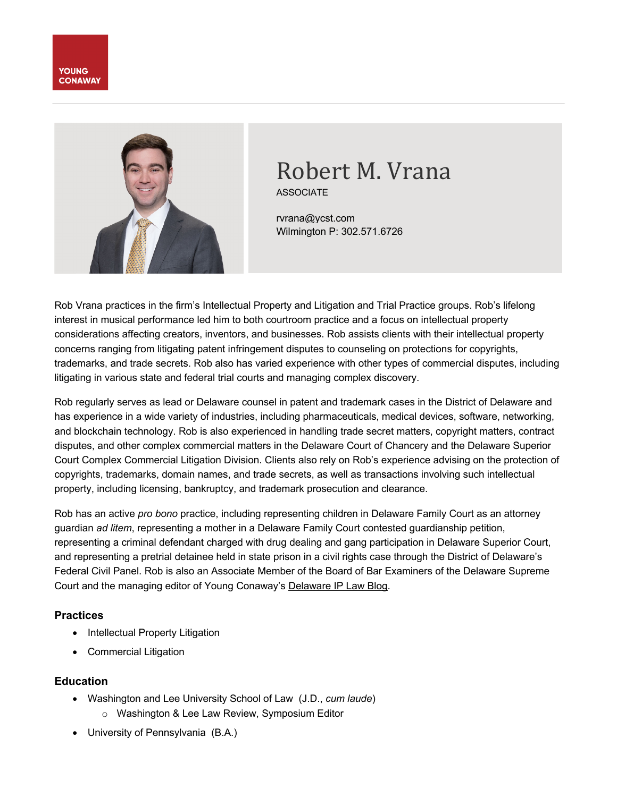



# Robert M. Vrana

ASSOCIATE

rvrana@ycst.com Wilmington P: 302.571.6726

Rob Vrana practices in the firm's Intellectual Property and Litigation and Trial Practice groups. Rob's lifelong interest in musical performance led him to both courtroom practice and a focus on intellectual property considerations affecting creators, inventors, and businesses. Rob assists clients with their intellectual property concerns ranging from litigating patent infringement disputes to counseling on protections for copyrights, trademarks, and trade secrets. Rob also has varied experience with other types of commercial disputes, including litigating in various state and federal trial courts and managing complex discovery.

Rob regularly serves as lead or Delaware counsel in patent and trademark cases in the District of Delaware and has experience in a wide variety of industries, including pharmaceuticals, medical devices, software, networking, and blockchain technology. Rob is also experienced in handling trade secret matters, copyright matters, contract disputes, and other complex commercial matters in the Delaware Court of Chancery and the Delaware Superior Court Complex Commercial Litigation Division. Clients also rely on Rob's experience advising on the protection of copyrights, trademarks, domain names, and trade secrets, as well as transactions involving such intellectual property, including licensing, bankruptcy, and trademark prosecution and clearance.

Rob has an active *pro bono* practice, including representing children in Delaware Family Court as an attorney guardian *ad litem*, representing a mother in a Delaware Family Court contested guardianship petition, representing a criminal defendant charged with drug dealing and gang participation in Delaware Superior Court, and representing a pretrial detainee held in state prison in a civil rights case through the District of Delaware's Federal Civil Panel. Rob is also an Associate Member of the Board of Bar Examiners of the Delaware Supreme Court and the managing editor of Young Conaway's Delaware IP Law Blog.

## **Practices**

- Intellectual Property Litigation
- Commercial Litigation

## **Education**

- Washington and Lee University School of Law (J.D., *cum laude*)
	- o Washington & Lee Law Review, Symposium Editor
- University of Pennsylvania (B.A.)